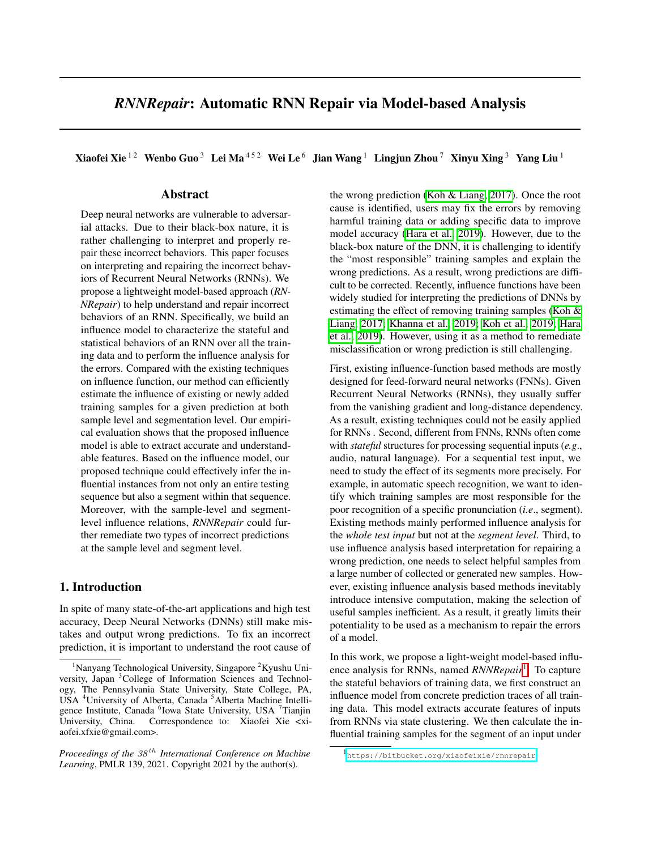# *RNNRepair*: Automatic RNN Repair via Model-based Analysis

Xiaofei Xie  $12$  Wenbo Guo  $3$  Lei Ma  $452$  Wei Le  $6$  Jian Wang  $1$  Lingjun Zhou  $7$  Xinyu Xing  $3$  Yang Liu  $1$ 

# Abstract

Deep neural networks are vulnerable to adversarial attacks. Due to their black-box nature, it is rather challenging to interpret and properly repair these incorrect behaviors. This paper focuses on interpreting and repairing the incorrect behaviors of Recurrent Neural Networks (RNNs). We propose a lightweight model-based approach (*RN-NRepair*) to help understand and repair incorrect behaviors of an RNN. Specifically, we build an influence model to characterize the stateful and statistical behaviors of an RNN over all the training data and to perform the influence analysis for the errors. Compared with the existing techniques on influence function, our method can efficiently estimate the influence of existing or newly added training samples for a given prediction at both sample level and segmentation level. Our empirical evaluation shows that the proposed influence model is able to extract accurate and understandable features. Based on the influence model, our proposed technique could effectively infer the influential instances from not only an entire testing sequence but also a segment within that sequence. Moreover, with the sample-level and segmentlevel influence relations, *RNNRepair* could further remediate two types of incorrect predictions at the sample level and segment level.

# 1. Introduction

In spite of many state-of-the-art applications and high test accuracy, Deep Neural Networks (DNNs) still make mistakes and output wrong predictions. To fix an incorrect prediction, it is important to understand the root cause of the wrong prediction (Koh  $&$  Liang, 2017). Once the root cause is identified, users may fix the errors by removing harmful training data or adding specific data to improve model accuracy [\(Hara et al., 2019\)](#page-9-1). However, due to the black-box nature of the DNN, it is challenging to identify the "most responsible" training samples and explain the wrong predictions. As a result, wrong predictions are difficult to be corrected. Recently, influence functions have been widely studied for interpreting the predictions of DNNs by estimating the effect of removing training samples (Koh  $\&$ [Liang, 2017;](#page-9-0) [Khanna et al., 2019;](#page-9-2) [Koh et al., 2019;](#page-9-3) [Hara](#page-9-1) [et al., 2019\)](#page-9-1). However, using it as a method to remediate misclassification or wrong prediction is still challenging.

First, existing influence-function based methods are mostly designed for feed-forward neural networks (FNNs). Given Recurrent Neural Networks (RNNs), they usually suffer from the vanishing gradient and long-distance dependency. As a result, existing techniques could not be easily applied for RNNs . Second, different from FNNs, RNNs often come with *stateful* structures for processing sequential inputs (*e.g*., audio, natural language). For a sequential test input, we need to study the effect of its segments more precisely. For example, in automatic speech recognition, we want to identify which training samples are most responsible for the poor recognition of a specific pronunciation (*i.e*., segment). Existing methods mainly performed influence analysis for the *whole test input* but not at the *segment level*. Third, to use influence analysis based interpretation for repairing a wrong prediction, one needs to select helpful samples from a large number of collected or generated new samples. However, existing influence analysis based methods inevitably introduce intensive computation, making the selection of useful samples inefficient. As a result, it greatly limits their potentiality to be used as a mechanism to repair the errors of a model.

In this work, we propose a light-weight model-based influence analysis for RNNs, named *RNNRepair*<sup>11</sup>. To capture the stateful behaviors of training data, we first construct an influence model from concrete prediction traces of all training data. This model extracts accurate features of inputs from RNNs via state clustering. We then calculate the influential training samples for the segment of an input under

<sup>&</sup>lt;sup>1</sup>Nanyang Technological University, Singapore<sup>2</sup>Kyushu University, Japan <sup>3</sup> College of Information Sciences and Technology, The Pennsylvania State University, State College, PA, USA<sup>4</sup>University of Alberta, Canada<sup>5</sup>Alberta Machine Intelligence Institute, Canada <sup>6</sup>Iowa State University, USA <sup>7</sup>Tianjin University, China. Correspondence to: Xiaofei Xie <xiaofei.xfxie@gmail.com>.

*Proceedings of the 38 th International Conference on Machine Learning*, PMLR 139, 2021. Copyright 2021 by the author(s).

<span id="page-0-0"></span><sup>1</sup> <https://bitbucket.org/xiaofeixie/rnnrepair>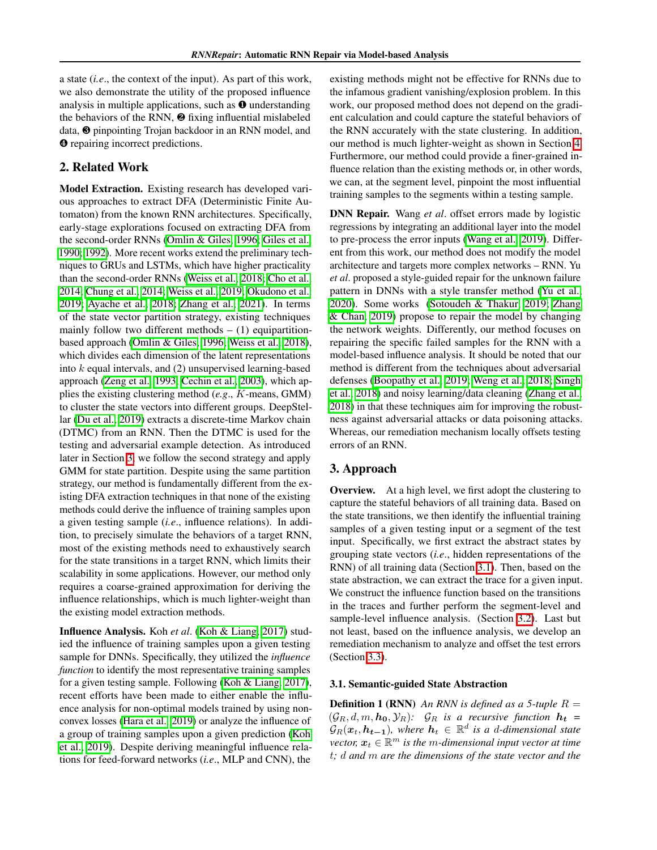a state (*i.e*., the context of the input). As part of this work, we also demonstrate the utility of the proposed influence analysis in multiple applications, such as <sup>o</sup> understanding the behaviors of the RNN,  $\odot$  fixing influential mislabeled data, <sup>●</sup> pinpointing Trojan backdoor in an RNN model, and  $\bullet$  repairing incorrect predictions.

# 2. Related Work

Model Extraction. Existing research has developed various approaches to extract DFA (Deterministic Finite Automaton) from the known RNN architectures. Specifically, early-stage explorations focused on extracting DFA from the second-order RNNs [\(Omlin & Giles, 1996;](#page-9-4) [Giles et al.,](#page-8-0) [1990;](#page-8-0) [1992\)](#page-9-5). More recent works extend the preliminary techniques to GRUs and LSTMs, which have higher practicality than the second-order RNNs [\(Weiss et al., 2018;](#page-9-6) [Cho et al.,](#page-8-1) [2014;](#page-8-1) [Chung et al., 2014;](#page-8-2) [Weiss et al., 2019;](#page-9-7) Okudono et al. [2019;](#page-9-8) [Ayache et al., 2018;](#page-8-3) [Zhang et al., 2021\)](#page-9-9). In terms of the state vector partition strategy, existing techniques mainly follow two different methods  $- (1)$  equipartition-based approach [\(Omlin & Giles, 1996;](#page-9-4) [Weiss et al., 2018\)](#page-9-6), which divides each dimension of the latent representations into *k* equal intervals, and (2) unsupervised learning-based approach [\(Zeng et al., 1993;](#page-9-10) [Cechin et al., 2003\)](#page-8-4), which applies the existing clustering method (*e.g*., *K*-means, GMM) to cluster the state vectors into different groups. DeepStel-lar [\(Du et al., 2019\)](#page-8-5) extracts a discrete-time Markov chain (DTMC) from an RNN. Then the DTMC is used for the testing and adversarial example detection. As introduced later in Section  $\overline{3}$ , we follow the second strategy and apply GMM for state partition. Despite using the same partition strategy, our method is fundamentally different from the existing DFA extraction techniques in that none of the existing methods could derive the influence of training samples upon a given testing sample (*i.e*., influence relations). In addition, to precisely simulate the behaviors of a target RNN, most of the existing methods need to exhaustively search for the state transitions in a target RNN, which limits their scalability in some applications. However, our method only requires a coarse-grained approximation for deriving the influence relationships, which is much lighter-weight than the existing model extraction methods.

Influence Analysis. Koh *et al*. [\(Koh & Liang, 2017\)](#page-9-0) studied the influence of training samples upon a given testing sample for DNNs. Specifically, they utilized the *influence function* to identify the most representative training samples for a given testing sample. Following [\(Koh & Liang, 2017\)](#page-9-0), recent efforts have been made to either enable the influence analysis for non-optimal models trained by using non-convex losses [\(Hara et al., 2019\)](#page-9-1) or analyze the influence of a group of training samples upon a given prediction [\(Koh](#page-9-3) [et al., 2019\)](#page-9-3). Despite deriving meaningful influence relations for feed-forward networks (*i.e*., MLP and CNN), the

existing methods might not be effective for RNNs due to the infamous gradient vanishing/explosion problem. In this work, our proposed method does not depend on the gradient calculation and could capture the stateful behaviors of the RNN accurately with the state clustering. In addition, our method is much lighter-weight as shown in Section [4.](#page-5-0) Furthermore, our method could provide a finer-grained influence relation than the existing methods or, in other words, we can, at the segment level, pinpoint the most influential training samples to the segments within a testing sample.

DNN Repair. Wang *et al*. offset errors made by logistic regressions by integrating an additional layer into the model to pre-process the error inputs [\(Wang et al., 2019\)](#page-9-11). Different from this work, our method does not modify the model architecture and targets more complex networks – RNN. Yu *et al*. proposed a style-guided repair for the unknown failure pattern in DNNs with a style transfer method (Yu et al.) [2020\)](#page-9-12). Some works [\(Sotoudeh & Thakur, 2019;](#page-9-13) [Zhang](#page-9-14) [& Chan, 2019\)](#page-9-14) propose to repair the model by changing the network weights. Differently, our method focuses on repairing the specific failed samples for the RNN with a model-based influence analysis. It should be noted that our method is different from the techniques about adversarial defenses [\(Boopathy et al., 2019;](#page-8-6) [Weng et al., 2018;](#page-9-15) [Singh](#page-9-16) [et al., 2018\)](#page-9-16) and noisy learning/data cleaning [\(Zhang et al.,](#page-9-17) [2018\)](#page-9-17) in that these techniques aim for improving the robustness against adversarial attacks or data poisoning attacks. Whereas, our remediation mechanism locally offsets testing errors of an RNN.

# <span id="page-1-0"></span>3. Approach

Overview. At a high level, we first adopt the clustering to capture the stateful behaviors of all training data. Based on the state transitions, we then identify the influential training samples of a given testing input or a segment of the test input. Specifically, we first extract the abstract states by grouping state vectors (*i.e*., hidden representations of the RNN) of all training data (Section  $\overline{3.1}$ ). Then, based on the state abstraction, we can extract the trace for a given input. We construct the influence function based on the transitions in the traces and further perform the segment-level and sample-level influence analysis. (Section  $\overline{3.2}$ ). Last but not least, based on the influence analysis, we develop an remediation mechanism to analyze and offset the test errors  $(Section 3.3)$  $(Section 3.3)$ .

#### <span id="page-1-1"></span>3.1. Semantic-guided State Abstraction

**Definition 1 (RNN)** An RNN is defined as a 5-tuple  $R =$  $(\mathcal{G}_R, d, m, h_0, \mathcal{Y}_R)$ :  $\mathcal{G}_R$  *is a recursive function*  $h_t =$  $\mathcal{G}_R(\boldsymbol{x}_t, \boldsymbol{h_{t-1}})$ *, where*  $\boldsymbol{h}_t \in \mathbb{R}^d$  *is a d-dimensional state vector,*  $x_t \in \mathbb{R}^m$  *is the m-dimensional input vector at time t; d and m are the dimensions of the state vector and the*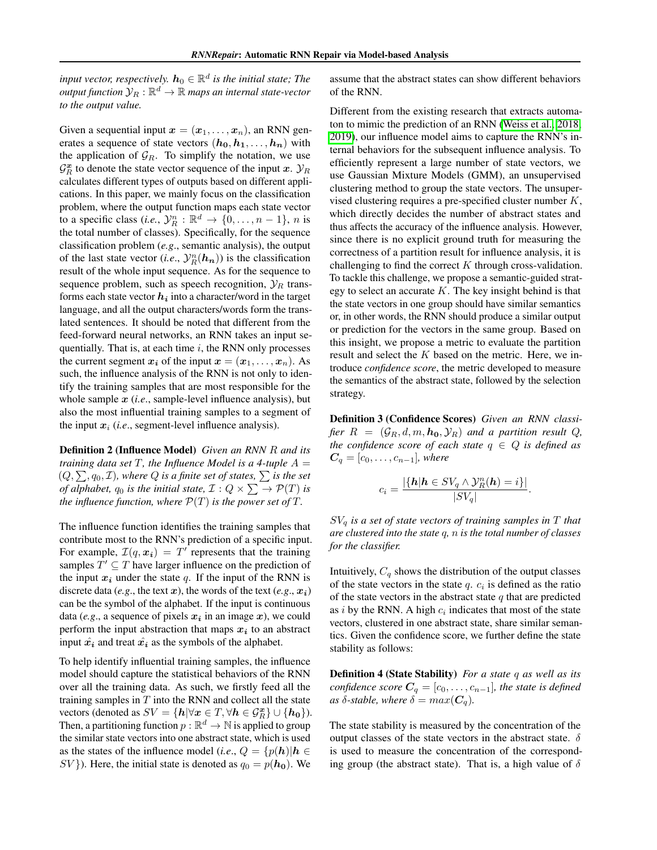*input vector, respectively.*  $h_0 \in \mathbb{R}^d$  *is the initial state; The output function*  $\mathcal{Y}_R : \mathbb{R}^d \to \mathbb{R}$  *maps an internal state-vector to the output value.*

Given a sequential input  $x = (x_1, \ldots, x_n)$ , an RNN generates a sequence of state vectors  $(h_0, h_1, \ldots, h_n)$  with the application of  $\mathcal{G}_R$ . To simplify the notation, we use  $\mathcal{G}_R^{\boldsymbol{x}}$  to denote the state vector sequence of the input *x*.  $\mathcal{Y}_R$ calculates different types of outputs based on different applications. In this paper, we mainly focus on the classification problem, where the output function maps each state vector to a specific class (*i.e.*,  $\mathcal{Y}_R^n : \mathbb{R}^d \to \{0, \ldots, n-1\}$ , *n* is the total number of classes). Specifically, for the sequence classification problem (*e.g*., semantic analysis), the output of the last state vector (*i.e.*,  $\mathcal{Y}_R^n(\mathbf{h}_n)$ ) is the classification result of the whole input sequence. As for the sequence to sequence problem, such as speech recognition,  $\mathcal{Y}_R$  transforms each state vector  $h_i$  into a character/word in the target language, and all the output characters/words form the translated sentences. It should be noted that different from the feed-forward neural networks, an RNN takes an input sequentially. That is, at each time *i*, the RNN only processes the current segment  $x_i$  of the input  $x = (x_1, \ldots, x_n)$ . As such, the influence analysis of the RNN is not only to identify the training samples that are most responsible for the whole sample *x* (*i.e*., sample-level influence analysis), but also the most influential training samples to a segment of the input  $x_i$  (*i.e.*, segment-level influence analysis).

Definition 2 (Influence Model) *Given an RNN R and its training data set*  $T$ *, the Influence Model is a 4-tuple*  $A =$  $(Q, \sum, q_0, \mathcal{I})$ , where  $Q$  is a finite set of states,  $\sum$  is the set *of alphabet,*  $q_0$  *is the initial state,*  $\mathcal{I}: Q \times \sum \rightarrow \mathcal{P}(T)$  *is the influence function, where*  $P(T)$  *is the power set of*  $T$ *.* 

The influence function identifies the training samples that contribute most to the RNN's prediction of a specific input. For example,  $\mathcal{I}(q, x_i) = T'$  represents that the training samples  $T' \subseteq T$  have larger influence on the prediction of the input  $x_i$  under the state  $q$ . If the input of the RNN is discrete data (*e.g.*, the text *x*), the words of the text (*e.g.*,  $x_i$ ) can be the symbol of the alphabet. If the input is continuous data (*e.g.*, a sequence of pixels  $x_i$  in an image  $x$ ), we could perform the input abstraction that maps  $x_i$  to an abstract input  $\hat{x_i}$  and treat  $\hat{x_i}$  as the symbols of the alphabet.

To help identify influential training samples, the influence model should capture the statistical behaviors of the RNN over all the training data. As such, we firstly feed all the training samples in *T* into the RNN and collect all the state vectors (denoted as  $SV = \{h | \forall x \in T, \forall h \in \mathcal{G}_R^x\} \cup \{h_0\}$ ). Then, a partitioning function  $p : \mathbb{R}^d \to \mathbb{N}$  is applied to group the similar state vectors into one abstract state, which is used as the states of the influence model (*i.e.*,  $Q = \{p(h) | h \in$ *SV*}). Here, the initial state is denoted as  $q_0 = p(h_0)$ . We

assume that the abstract states can show different behaviors of the RNN.

Different from the existing research that extracts automaton to mimic the prediction of an RNN (Weiss et al.,  $2018$ ; [2019\)](#page-9-7), our influence model aims to capture the RNN's internal behaviors for the subsequent influence analysis. To efficiently represent a large number of state vectors, we use Gaussian Mixture Models (GMM), an unsupervised clustering method to group the state vectors. The unsupervised clustering requires a pre-specified cluster number *K*, which directly decides the number of abstract states and thus affects the accuracy of the influence analysis. However, since there is no explicit ground truth for measuring the correctness of a partition result for influence analysis, it is challenging to find the correct *K* through cross-validation. To tackle this challenge, we propose a semantic-guided strategy to select an accurate *K*. The key insight behind is that the state vectors in one group should have similar semantics or, in other words, the RNN should produce a similar output or prediction for the vectors in the same group. Based on this insight, we propose a metric to evaluate the partition result and select the *K* based on the metric. Here, we introduce *confidence score*, the metric developed to measure the semantics of the abstract state, followed by the selection strategy.

<span id="page-2-0"></span>Definition 3 (Confidence Scores) *Given an RNN classifier*  $R = (\mathcal{G}_R, d, m, h_0, \mathcal{Y}_R)$  *and a partition result Q, the confidence score of each state*  $q \in Q$  *is defined as*  $C_q = [c_0, \ldots, c_{n-1}]$ *, where* 

$$
c_i = \frac{|\{\mathbf{h}|\mathbf{h} \in SV_q \wedge \mathcal{Y}_R^n(\mathbf{h}) = i\}|}{|SV_q|}.
$$

*SV<sup>q</sup> is a set of state vectors of training samples in T that are clustered into the state q, n is the total number of classes for the classifier.*

Intuitively,  $C_q$  shows the distribution of the output classes of the state vectors in the state *q*. *c<sup>i</sup>* is defined as the ratio of the state vectors in the abstract state *q* that are predicted as *i* by the RNN. A high *c<sup>i</sup>* indicates that most of the state vectors, clustered in one abstract state, share similar semantics. Given the confidence score, we further define the state stability as follows:

Definition 4 (State Stability) *For a state q as well as its confidence score*  $C_q = [c_0, \ldots, c_{n-1}]$ *, the state is defined as*  $\delta$ -*stable, where*  $\delta = max(C_q)$ *.* 

The state stability is measured by the concentration of the output classes of the state vectors in the abstract state.  $\delta$ is used to measure the concentration of the corresponding group (the abstract state). That is, a high value of  $\delta$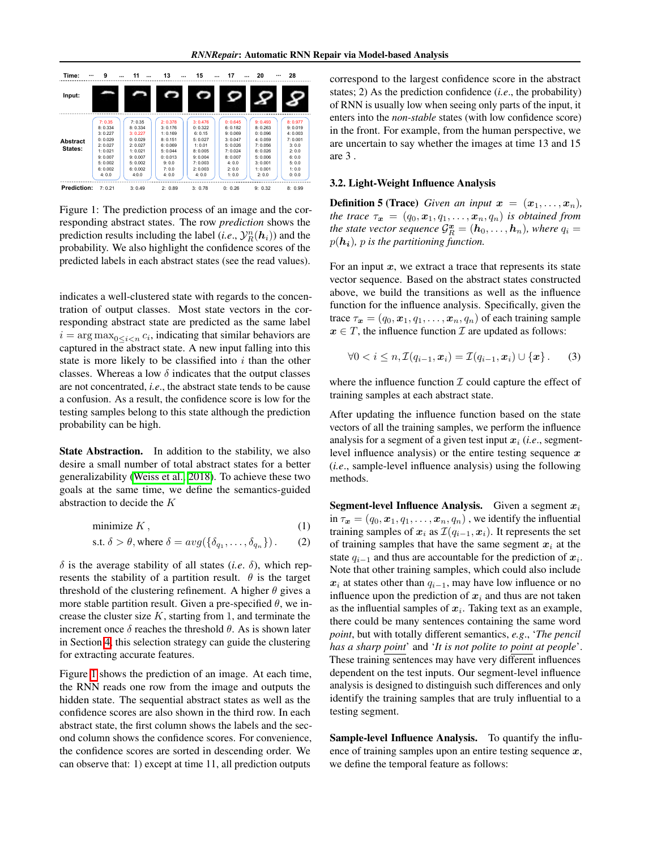<span id="page-3-1"></span>

| Time:<br>                  | 9                                                                                                       | 11<br>                                                                                                 | 13<br>                                                                                                | 15                                                                                                      | 17                                                                                                   | 20                                                                                                       | 28                                                                                             |
|----------------------------|---------------------------------------------------------------------------------------------------------|--------------------------------------------------------------------------------------------------------|-------------------------------------------------------------------------------------------------------|---------------------------------------------------------------------------------------------------------|------------------------------------------------------------------------------------------------------|----------------------------------------------------------------------------------------------------------|------------------------------------------------------------------------------------------------|
| Input:                     |                                                                                                         |                                                                                                        |                                                                                                       |                                                                                                         |                                                                                                      |                                                                                                          |                                                                                                |
| <b>Abstract</b><br>States: | 7:0.35<br>8:0.334<br>3:0.227<br>0:0.029<br>2:0.027<br>1:0.021<br>9:0.007<br>5:0.002<br>6:0.002<br>4:0.0 | 7:0.35<br>8:0.334<br>3:0.227<br>0:0.029<br>2.0027<br>1:0.021<br>9:0.007<br>5:0.002<br>6:0.002<br>4:0.0 | 2:0.378<br>3:0.176<br>1:0.169<br>8:0.151<br>6:0.069<br>5:0.044<br>0: 0.013<br>9:0.0<br>7:0.0<br>4:0.0 | 3:0.476<br>0: 0.322<br>6:0.15<br>5:0.027<br>1:0.01<br>8:0.005<br>9:0.004<br>7:0.003<br>2:0.003<br>4:0.0 | 0:0.645<br>6:0.182<br>9:0.069<br>3:0.047<br>5:0.026<br>7:0.024<br>8:0.007<br>4:0.0<br>2:0.0<br>1:0.0 | 9:0.493<br>8:0.263<br>0:0.096<br>4:0.059<br>7:0.056<br>6:0.026<br>5:0.006<br>3:0.001<br>1:0.001<br>2:0.0 | 8:0.977<br>9:0.019<br>4:0.003<br>7:0.001<br>3:0.0<br>2:0.0<br>6:0.0<br>5:0.0<br>1:0.0<br>0:0.0 |
| Prediction:                | 7:0.21                                                                                                  | 3:0.49                                                                                                 | 2:0.89                                                                                                | 3:0.78                                                                                                  | 0: 0.26                                                                                              | 9:0.32                                                                                                   | 8:0.99                                                                                         |

Figure 1: The prediction process of an image and the corresponding abstract states. The row *prediction* shows the prediction results including the label  $(i.e., \mathcal{Y}_R^n(\boldsymbol{h}_i))$  and the probability. We also highlight the confidence scores of the predicted labels in each abstract states (see the read values).

indicates a well-clustered state with regards to the concentration of output classes. Most state vectors in the corresponding abstract state are predicted as the same label  $i = \arg \max_{0 \le i \le n} c_i$ , indicating that similar behaviors are captured in the abstract state. A new input falling into this state is more likely to be classified into *i* than the other classes. Whereas a low  $\delta$  indicates that the output classes are not concentrated, *i.e*., the abstract state tends to be cause a confusion. As a result, the confidence score is low for the testing samples belong to this state although the prediction probability can be high.

State Abstraction. In addition to the stability, we also desire a small number of total abstract states for a better generalizability [\(Weiss et al., 2018\)](#page-9-6). To achieve these two goals at the same time, we define the semantics-guided abstraction to decide the *K*

$$
minimize K, \tag{1}
$$

s.t. 
$$
\delta > \theta
$$
, where  $\delta = avg(\{\delta_{q_1}, \ldots, \delta_{q_n}\})$ . (2)

 $\delta$  is the average stability of all states (*i.e.*  $\delta$ ), which represents the stability of a partition result.  $\theta$  is the target threshold of the clustering refinement. A higher  $\theta$  gives a more stable partition result. Given a pre-specified  $\theta$ , we increase the cluster size  $K$ , starting from 1, and terminate the increment once  $\delta$  reaches the threshold  $\theta$ . As is shown later in Section  $\frac{1}{4}$ , this selection strategy can guide the clustering for extracting accurate features.

Figure  $\overline{1}$  shows the prediction of an image. At each time, the RNN reads one row from the image and outputs the hidden state. The sequential abstract states as well as the confidence scores are also shown in the third row. In each abstract state, the first column shows the labels and the second column shows the confidence scores. For convenience, the confidence scores are sorted in descending order. We can observe that: 1) except at time 11, all prediction outputs

correspond to the largest confidence score in the abstract states; 2) As the prediction confidence (*i.e*., the probability) of RNN is usually low when seeing only parts of the input, it enters into the *non-stable* states (with low confidence score) in the front. For example, from the human perspective, we are uncertain to say whether the images at time 13 and 15 are 3 .

#### <span id="page-3-0"></span>3.2. Light-Weight Influence Analysis

**Definition 5 (Trace)** Given an input  $x = (x_1, \ldots, x_n)$ , *the trace*  $\tau_x = (q_0, x_1, q_1, \ldots, x_n, q_n)$  *is obtained from the state vector sequence*  $\mathcal{G}_R^{\bm{x}} = (\bm{h}_0, \dots, \bm{h}_n)$ *, where*  $q_i =$  $p(\mathbf{h_i})$ , *p* is the partitioning function.

For an input *x*, we extract a trace that represents its state vector sequence. Based on the abstract states constructed above, we build the transitions as well as the influence function for the influence analysis. Specifically, given the trace  $\tau_x = (q_0, x_1, q_1, \ldots, x_n, q_n)$  of each training sample  $x \in T$ , the influence function *I* are updated as follows:

$$
\forall 0 < i \leq n, \mathcal{I}(q_{i-1}, \boldsymbol{x}_i) = \mathcal{I}(q_{i-1}, \boldsymbol{x}_i) \cup \{\boldsymbol{x}\}. \qquad (3)
$$

where the influence function  $\mathcal I$  could capture the effect of training samples at each abstract state.

After updating the influence function based on the state vectors of all the training samples, we perform the influence analysis for a segment of a given test input *x<sup>i</sup>* (*i.e*., segmentlevel influence analysis) or the entire testing sequence *x* (*i.e*., sample-level influence analysis) using the following methods.

Segment-level Influence Analysis. Given a segment *x<sup>i</sup>* in  $\tau_x = (q_0, x_1, q_1, \ldots, x_n, q_n)$ , we identify the influential training samples of  $x_i$  as  $\mathcal{I}(q_{i-1}, x_i)$ . It represents the set of training samples that have the same segment  $x_i$  at the state  $q_{i-1}$  and thus are accountable for the prediction of  $x_i$ . Note that other training samples, which could also include  $x_i$  at states other than  $q_{i-1}$ , may have low influence or no influence upon the prediction of  $x_i$  and thus are not taken as the influential samples of  $x_i$ . Taking text as an example, there could be many sentences containing the same word *point*, but with totally different semantics, *e.g*., '*The pencil has a sharp point*' and '*It is not polite to point at people*'. These training sentences may have very different influences dependent on the test inputs. Our segment-level influence analysis is designed to distinguish such differences and only identify the training samples that are truly influential to a testing segment.

<span id="page-3-2"></span>Sample-level Influence Analysis. To quantify the influence of training samples upon an entire testing sequence *x*, we define the temporal feature as follows: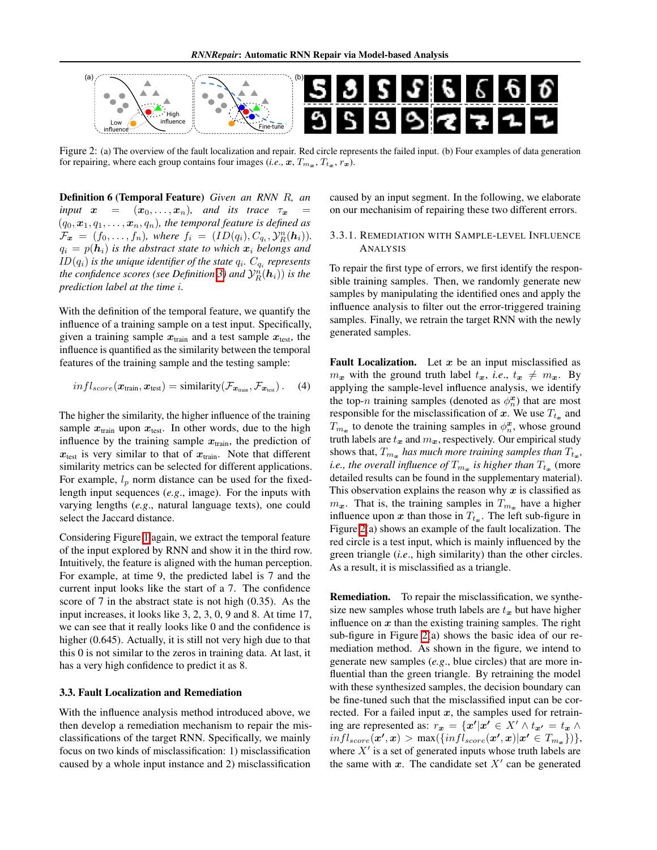<span id="page-4-1"></span>

Figure 2: (a) The overview of the fault localization and repair. Red circle represents the failed input. (b) Four examples of data generation for repairing, where each group contains four images (*i.e.*,  $x, T_{m_x}, T_{t_x}, r_x$ ).

Definition 6 (Temporal Feature) *Given an RNN R, an input*  $x = (x_0, \ldots, x_n)$ *, and its trace*  $\tau_x$  $(q_0, \boldsymbol{x}_1, q_1, \ldots, \boldsymbol{x}_n, q_n)$ , the temporal feature is defined as  $\mathcal{F}_{\bm{x}} = (f_0, \ldots, f_n)$ *, where*  $f_i = (ID(q_i), C_{q_i}, \mathcal{Y}_R^n(h_i))$ *.*  $q_i = p(h_i)$  *is the abstract state to which*  $x_i$  *belongs and ID*( $q_i$ ) *is the unique identifier of the state*  $q_i$ *. C*<sub> $q_i$ </sub> *represents the confidence scores (see Definition*  $\beta$ ) *and*  $\mathcal{Y}_R^n(\boldsymbol{h}_i)$ ) *is the prediction label at the time i.*

With the definition of the temporal feature, we quantify the influence of a training sample on a test input. Specifically, given a training sample  $x_{\text{train}}$  and a test sample  $x_{\text{test}}$ , the influence is quantified as the similarity between the temporal features of the training sample and the testing sample:

$$
infl_{score}(\boldsymbol{x}_{\text{train}}, \boldsymbol{x}_{\text{test}}) = \text{similarity}(\mathcal{F}_{\boldsymbol{x}_{\text{train}}}, \mathcal{F}_{\boldsymbol{x}_{\text{test}}})\,. \tag{4}
$$

The higher the similarity, the higher influence of the training sample  $x_{\text{train}}$  upon  $x_{\text{test}}$ . In other words, due to the high influence by the training sample  $x_{\text{train}}$ , the prediction of  $x_{test}$  is very similar to that of  $x_{train}$ . Note that different similarity metrics can be selected for different applications. For example,  $l_p$  norm distance can be used for the fixedlength input sequences (*e.g*., image). For the inputs with varying lengths (*e.g*., natural language texts), one could select the Jaccard distance.

Considering Figure  $\prod$  again, we extract the temporal feature of the input explored by RNN and show it in the third row. Intuitively, the feature is aligned with the human perception. For example, at time 9, the predicted label is 7 and the current input looks like the start of a 7. The confidence score of 7 in the abstract state is not high (0.35). As the input increases, it looks like 3, 2, 3, 0, 9 and 8. At time 17, we can see that it really looks like 0 and the confidence is higher (0.645). Actually, it is still not very high due to that this 0 is not similar to the zeros in training data. At last, it has a very high confidence to predict it as 8.

#### <span id="page-4-0"></span>3.3. Fault Localization and Remediation

With the influence analysis method introduced above, we then develop a remediation mechanism to repair the misclassifications of the target RNN. Specifically, we mainly focus on two kinds of misclassification: 1) misclassification caused by a whole input instance and 2) misclassification

caused by an input segment. In the following, we elaborate on our mechanisim of repairing these two different errors.

#### 3.3.1. REMEDIATION WITH SAMPLE-LEVEL INFLUENCE ANALYSIS

To repair the first type of errors, we first identify the responsible training samples. Then, we randomly generate new samples by manipulating the identified ones and apply the influence analysis to filter out the error-triggered training samples. Finally, we retrain the target RNN with the newly generated samples.

**Fault Localization.** Let  $x$  be an input misclassified as  $m_x$  with the ground truth label  $t_x$ , *i.e.*,  $t_x \neq m_x$ . By applying the sample-level influence analysis, we identify the top-*n* training samples (denoted as  $\phi_n^{\mathbf{x}}$ ) that are most responsible for the misclassification of x. We use  $T_{t_n}$  and  $T_{m_x}$  to denote the training samples in  $\phi_n^x$ , whose ground truth labels are  $t_x$  and  $m_x$ , respectively. Our empirical study shows that,  $T_{m_x}$  *has much more training samples than*  $T_{t_x}$ *, i.e., the overall influence of*  $T_{m_x}$  *is higher than*  $T_{t_x}$  (more detailed results can be found in the supplementary material). This observation explains the reason why *x* is classified as  $m_x$ . That is, the training samples in  $T_{m_x}$  have a higher influence upon *x* than those in  $T_{t_x}$ . The left sub-figure in Figure  $\sqrt{2}$ (a) shows an example of the fault localization. The red circle is a test input, which is mainly influenced by the green triangle (*i.e*., high similarity) than the other circles. As a result, it is misclassified as a triangle.

Remediation. To repair the misclassification, we synthesize new samples whose truth labels are  $t_x$  but have higher influence on *x* than the existing training samples. The right sub-figure in Figure  $\overline{2}$ (a) shows the basic idea of our remediation method. As shown in the figure, we intend to generate new samples (*e.g*., blue circles) that are more influential than the green triangle. By retraining the model with these synthesized samples, the decision boundary can be fine-tuned such that the misclassified input can be corrected. For a failed input *x*, the samples used for retraining are represented as:  $r_x = \{x' | x' \in X' \land t_{x'} = t_x \land t_{x'}\}$  $\{inf1_{score}(\mathbf{x}', \mathbf{x}) > max(\{inf1_{score}(\mathbf{x}', \mathbf{x}) | \mathbf{x}' \in T_{m_{\mathbf{x}}} \})\},\}$ where  $X'$  is a set of generated inputs whose truth labels are the same with  $x$ . The candidate set  $X'$  can be generated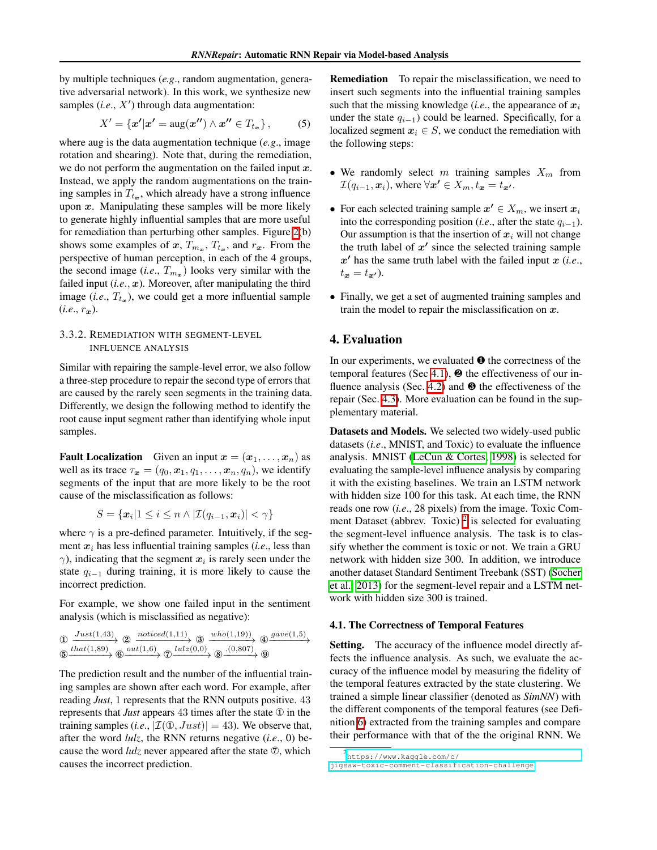by multiple techniques (*e.g*., random augmentation, generative adversarial network). In this work, we synthesize new samples  $(i.e., X')$  through data augmentation:

$$
X' = \{x'|x' = \operatorname{aug}(x'') \wedge x'' \in T_{t_x}\},\tag{5}
$$

where aug is the data augmentation technique (*e.g*., image rotation and shearing). Note that, during the remediation, we do not perform the augmentation on the failed input *x*. Instead, we apply the random augmentations on the training samples in  $T_{t_{\infty}}$ , which already have a strong influence upon *x*. Manipulating these samples will be more likely to generate highly influential samples that are more useful for remediation than perturbing other samples. Figure  $2(b)$ shows some examples of  $x$ ,  $T_{m_x}$ ,  $T_{t_x}$ , and  $r_x$ . From the perspective of human perception, in each of the 4 groups, the second image (*i.e.*,  $T_{m_x}$ ) looks very similar with the failed input  $(i.e., x)$ . Moreover, after manipulating the third image (*i.e.*,  $T_{t_x}$ ), we could get a more influential sample  $(i.e., r_x)$ .

## <span id="page-5-4"></span>3.3.2. REMEDIATION WITH SEGMENT-LEVEL INFLUENCE ANALYSIS

Similar with repairing the sample-level error, we also follow a three-step procedure to repair the second type of errors that are caused by the rarely seen segments in the training data. Differently, we design the following method to identify the root cause input segment rather than identifying whole input samples.

**Fault Localization** Given an input  $x = (x_1, \ldots, x_n)$  as well as its trace  $\tau_x = (q_0, x_1, q_1, \ldots, x_n, q_n)$ , we identify segments of the input that are more likely to be the root cause of the misclassification as follows:

$$
S = \{ \boldsymbol{x}_i | 1 \leq i \leq n \land |\mathcal{I}(q_{i-1}, \boldsymbol{x}_i)| < \gamma \}
$$

where  $\gamma$  is a pre-defined parameter. Intuitively, if the segment *x<sup>i</sup>* has less influential training samples (*i.e*., less than  $\gamma$ ), indicating that the segment  $x_i$  is rarely seen under the state  $q_{i-1}$  during training, it is more likely to cause the incorrect prediction.

For example, we show one failed input in the sentiment analysis (which is misclassified as negative):

$$
\oplus \xrightarrow{Just(1,43)} \oplus \xrightarrow{noticed(1,11)} \oplus \xrightarrow{whole(d(1,19))} \oplus \xrightarrow{gave(1,5)} \oplus \xrightarrow{state(1,89)} \oplus \xrightarrow{out(1,6)} \oplus \xrightarrow{lutz(0,0)} \oplus \xrightarrow{(0,807)} \oplus
$$

The prediction result and the number of the influential training samples are shown after each word. For example, after reading *Just*, 1 represents that the RNN outputs positive. 43 represents that *Just* appears 43 times after the state  $\Phi$  in the training samples (*i.e.*,  $|\mathcal{I}(\mathbb{O}, Just)| = 43$ ). We observe that, after the word *lulz*, the RNN returns negative (*i.e*., 0) because the word  $lulz$  never appeared after the state  $\mathcal{D}$ , which causes the incorrect prediction.

<span id="page-5-3"></span>Remediation To repair the misclassification, we need to insert such segments into the influential training samples such that the missing knowledge (*i.e*., the appearance of *x<sup>i</sup>* under the state  $q_{i-1}$ ) could be learned. Specifically, for a localized segment  $x_i \in S$ , we conduct the remediation with the following steps:

- *•* We randomly select *m* training samples *X<sup>m</sup>* from  $\mathcal{I}(q_{i-1}, \mathbf{x}_i)$ , where  $\forall \mathbf{x'} \in X_m$ ,  $t_{\mathbf{x}} = t_{\mathbf{x'}}$ .
- For each selected training sample  $x' \in X_m$ , we insert  $x_i$ into the corresponding position (*i.e.*, after the state  $q_{i-1}$ ). Our assumption is that the insertion of  $x_i$  will not change the truth label of  $x<sup>0</sup>$  since the selected training sample  $x'$  has the same truth label with the failed input  $x$  (*i.e.*,  $t_x = t_{x'}$ .
- Finally, we get a set of augmented training samples and train the model to repair the misclassification on *x*.

## <span id="page-5-0"></span>4. Evaluation

In our experiments, we evaluated ∂ the correctness of the temporal features (Sec  $(4.1)$ ,  $\Theta$  the effectiveness of our influence analysis (Sec.  $\overline{4.2}$ ) and <sup>§</sup> the effectiveness of the repair (Sec.  $\overline{4.3}$ ). More evaluation can be found in the supplementary material.

Datasets and Models. We selected two widely-used public datasets (*i.e*., MNIST, and Toxic) to evaluate the influence analysis. MNIST (LeCun  $&$  Cortes, [1998] is selected for evaluating the sample-level influence analysis by comparing it with the existing baselines. We train an LSTM network with hidden size 100 for this task. At each time, the RNN reads one row (*i.e*., 28 pixels) from the image. Toxic Comment Dataset (abbrev. Toxic) $\frac{2}{3}$  $\frac{2}{3}$  $\frac{2}{3}$  is selected for evaluating the segment-level influence analysis. The task is to classify whether the comment is toxic or not. We train a GRU network with hidden size 300. In addition, we introduce another dataset Standard Sentiment Treebank (SST) [\(Socher](#page-9-19) [et al., 2013\)](#page-9-19) for the segment-level repair and a LSTM network with hidden size 300 is trained.

#### <span id="page-5-1"></span>4.1. The Correctness of Temporal Features

Setting. The accuracy of the influence model directly affects the influence analysis. As such, we evaluate the accuracy of the influence model by measuring the fidelity of the temporal features extracted by the state clustering. We trained a simple linear classifier (denoted as *SimNN*) with the different components of the temporal features (see Definition  $\overline{6}$ ) extracted from the training samples and compare their performance with that of the the original RNN. We

<span id="page-5-2"></span><sup>2</sup> [https://www.kaggle.com/c/](https://www.kaggle.com/c/jigsaw-toxic-comment-classification-challenge) [jigsaw-toxic-comment-classification-challenge](https://www.kaggle.com/c/jigsaw-toxic-comment-classification-challenge).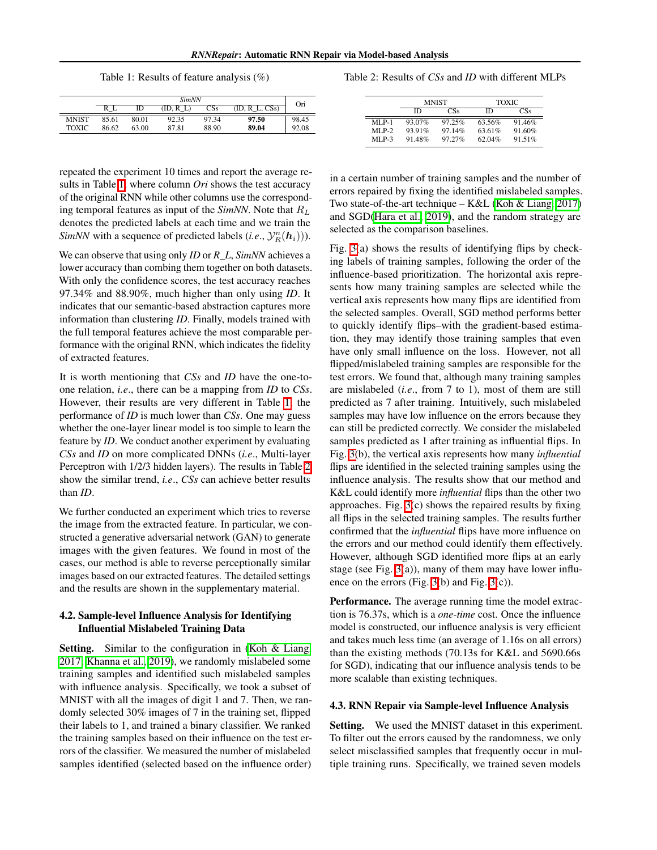Table 1: Results of feature analysis (%)

<span id="page-6-2"></span>

|              | <b>SimNN</b> |       |           |                 |                  |       |
|--------------|--------------|-------|-----------|-----------------|------------------|-------|
|              |              | ID    | (ID, R L) | CS <sub>s</sub> | $(ID, R_L, CSs)$ | Ori   |
| <b>MNIST</b> | 85.61        | 80.01 | 92.35     | 97.34           | 97.50            | 98.45 |
| <b>TOXIC</b> | 86.62        | 63.00 | 87.81     | 88.90           | 89.04            | 92.08 |

repeated the experiment 10 times and report the average results in Table  $\overline{1}$ , where column *Ori* shows the test accuracy of the original RNN while other columns use the corresponding temporal features as input of the *SimNN*. Note that *R<sup>L</sup>* denotes the predicted labels at each time and we train the *SimNN* with a sequence of predicted labels (*i.e.*,  $\mathcal{Y}_R^n(\boldsymbol{h}_i)$ )).

We can observe that using only *ID* or *R\_L*, *SimNN* achieves a lower accuracy than combing them together on both datasets. With only the confidence scores, the test accuracy reaches 97.34% and 88.90%, much higher than only using *ID*. It indicates that our semantic-based abstraction captures more information than clustering *ID*. Finally, models trained with the full temporal features achieve the most comparable performance with the original RNN, which indicates the fidelity of extracted features.

It is worth mentioning that *CSs* and *ID* have the one-toone relation, *i.e*., there can be a mapping from *ID* to *CSs*. However, their results are very different in Table  $\overline{1}$ , the performance of *ID* is much lower than *CSs*. One may guess whether the one-layer linear model is too simple to learn the feature by *ID*. We conduct another experiment by evaluating *CSs* and *ID* on more complicated DNNs (*i.e*., Multi-layer Perceptron with  $1/2/3$  hidden layers). The results in Table  $\sqrt{2}$ show the similar trend, *i.e*., *CSs* can achieve better results than *ID*.

We further conducted an experiment which tries to reverse the image from the extracted feature. In particular, we constructed a generative adversarial network (GAN) to generate images with the given features. We found in most of the cases, our method is able to reverse perceptionally similar images based on our extracted features. The detailed settings and the results are shown in the supplementary material.

## <span id="page-6-0"></span>4.2. Sample-level Influence Analysis for Identifying Influential Mislabeled Training Data

**Setting.** Similar to the configuration in (Koh & Liang) [2017;](#page-9-0) [Khanna et al., 2019\)](#page-9-2), we randomly mislabeled some training samples and identified such mislabeled samples with influence analysis. Specifically, we took a subset of MNIST with all the images of digit 1 and 7. Then, we randomly selected 30% images of 7 in the training set, flipped their labels to 1, and trained a binary classifier. We ranked the training samples based on their influence on the test errors of the classifier. We measured the number of mislabeled samples identified (selected based on the influence order)

<span id="page-6-3"></span>Table 2: Results of *CSs* and *ID* with different MLPs

|          |        | <b>MNIST</b> | <b>TOXIC</b> |        |  |
|----------|--------|--------------|--------------|--------|--|
|          | ID     | CSs          | m            | ΞSs    |  |
| $MI.P-1$ | 93.07% | 97.25%       | 63.56%       | 91.46% |  |
| $MI.P-2$ | 93.91% | 97.14%       | 63.61%       | 91.60% |  |
| $MLP-3$  | 91.48% | 97.27%       | 62.04%       | 91.51% |  |

in a certain number of training samples and the number of errors repaired by fixing the identified mislabeled samples. Two state-of-the-art technique – K&L (Koh & Liang,  $2017$ ) and  $SGD$ (Hara et al.,  $2019$ ), and the random strategy are selected as the comparison baselines.

Fig.  $\overline{3}(a)$  shows the results of identifying flips by checking labels of training samples, following the order of the influence-based prioritization. The horizontal axis represents how many training samples are selected while the vertical axis represents how many flips are identified from the selected samples. Overall, SGD method performs better to quickly identify flips–with the gradient-based estimation, they may identify those training samples that even have only small influence on the loss. However, not all flipped/mislabeled training samples are responsible for the test errors. We found that, although many training samples are mislabeled (*i.e*., from 7 to 1), most of them are still predicted as 7 after training. Intuitively, such mislabeled samples may have low influence on the errors because they can still be predicted correctly. We consider the mislabeled samples predicted as 1 after training as influential flips. In Fig.  $\overline{3}$ (b), the vertical axis represents how many *influential* flips are identified in the selected training samples using the influence analysis. The results show that our method and K&L could identify more *influential* flips than the other two approaches. Fig.  $\overline{3}(c)$  shows the repaired results by fixing all flips in the selected training samples. The results further confirmed that the *influential* flips have more influence on the errors and our method could identify them effectively. However, although SGD identified more flips at an early stage (see Fig.  $\overline{3}(a)$ ), many of them may have lower influence on the errors (Fig.  $\overline{3}$ (b) and Fig.  $\overline{3}$ (c)).

Performance. The average running time the model extraction is 76.37s, which is a *one-time* cost. Once the influence model is constructed, our influence analysis is very efficient and takes much less time (an average of 1.16s on all errors) than the existing methods (70.13s for K&L and 5690.66s for SGD), indicating that our influence analysis tends to be more scalable than existing techniques.

#### <span id="page-6-1"></span>4.3. RNN Repair via Sample-level Influence Analysis

Setting. We used the MNIST dataset in this experiment. To filter out the errors caused by the randomness, we only select misclassified samples that frequently occur in multiple training runs. Specifically, we trained seven models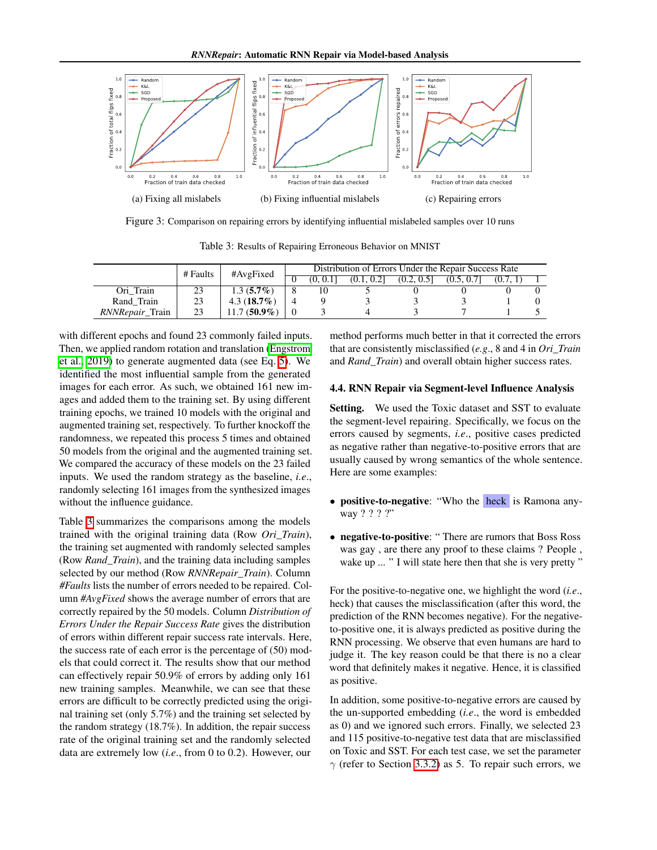<span id="page-7-0"></span>

Figure 3: Comparison on repairing errors by identifying influential mislabeled samples over 10 runs

Table 3: Results of Repairing Erroneous Behavior on MNIST

<span id="page-7-1"></span>

|                        | # Faults | #AvgFixed     | Distribution of Errors Under the Repair Success Rate |          |            |            |            |          |  |
|------------------------|----------|---------------|------------------------------------------------------|----------|------------|------------|------------|----------|--|
|                        |          |               |                                                      | (0. 0.1] | (0.1, 0.2] | (0.2, 0.5] | (0.5, 0.7] | (0.7, 1) |  |
| Ori Train              |          | $1.3(5.7\%)$  |                                                      | 10       |            |            |            |          |  |
| Rand Train             | 23       | $4.3(18.7\%)$ |                                                      |          |            |            |            |          |  |
| <i>RNNRepair</i> Train | 23       | $1.7(50.9\%)$ |                                                      |          |            |            |            |          |  |

with different epochs and found 23 commonly failed inputs. Then, we applied random rotation and translation [\(Engstrom](#page-8-7) et al.,  $\left[2019\right]$  to generate augmented data (see Eq.  $\left[5\right]$ ). We identified the most influential sample from the generated images for each error. As such, we obtained 161 new images and added them to the training set. By using different training epochs, we trained 10 models with the original and augmented training set, respectively. To further knockoff the randomness, we repeated this process 5 times and obtained 50 models from the original and the augmented training set. We compared the accuracy of these models on the 23 failed inputs. We used the random strategy as the baseline, *i.e*., randomly selecting 161 images from the synthesized images without the influence guidance.

Table  $\beta$  summarizes the comparisons among the models trained with the original training data (Row *Ori\_Train*), the training set augmented with randomly selected samples (Row *Rand\_Train*), and the training data including samples selected by our method (Row *RNNRepair\_Train*). Column *#Faults* lists the number of errors needed to be repaired. Column *#AvgFixed* shows the average number of errors that are correctly repaired by the 50 models. Column *Distribution of Errors Under the Repair Success Rate* gives the distribution of errors within different repair success rate intervals. Here, the success rate of each error is the percentage of (50) models that could correct it. The results show that our method can effectively repair 50.9% of errors by adding only 161 new training samples. Meanwhile, we can see that these errors are difficult to be correctly predicted using the original training set (only 5.7%) and the training set selected by the random strategy (18.7%). In addition, the repair success rate of the original training set and the randomly selected data are extremely low (*i.e*., from 0 to 0.2). However, our

method performs much better in that it corrected the errors that are consistently misclassified (*e.g*., 8 and 4 in *Ori\_Train* and *Rand\_Train*) and overall obtain higher success rates.

#### 4.4. RNN Repair via Segment-level Influence Analysis

Setting. We used the Toxic dataset and SST to evaluate the segment-level repairing. Specifically, we focus on the errors caused by segments, *i.e*., positive cases predicted as negative rather than negative-to-positive errors that are usually caused by wrong semantics of the whole sentence. Here are some examples:

- positive-to-negative: "Who the heck is Ramona anyway ? ? ? ?"
- negative-to-positive: "There are rumors that Boss Ross was gay , are there any proof to these claims ? People , wake up ... " I will state here then that she is very pretty "

For the positive-to-negative one, we highlight the word (*i.e*., heck) that causes the misclassification (after this word, the prediction of the RNN becomes negative). For the negativeto-positive one, it is always predicted as positive during the RNN processing. We observe that even humans are hard to judge it. The key reason could be that there is no a clear word that definitely makes it negative. Hence, it is classified as positive.

In addition, some positive-to-negative errors are caused by the un-supported embedding (*i.e*., the word is embedded as 0) and we ignored such errors. Finally, we selected 23 and 115 positive-to-negative test data that are misclassified on Toxic and SST. For each test case, we set the parameter  $\gamma$  (refer to Section [3.3.2\)](#page-5-4) as 5. To repair such errors, we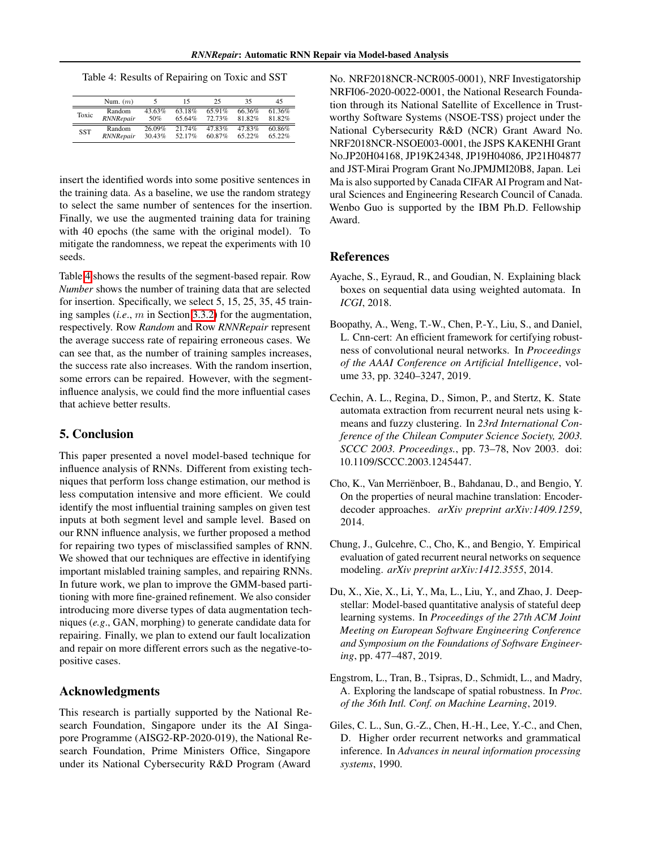<span id="page-8-8"></span>Table 4: Results of Repairing on Toxic and SST

|            | Num. $(m)$       |        | 15        | 25     | 35     | 45     |
|------------|------------------|--------|-----------|--------|--------|--------|
| Toxic      | Random           | 43.63% | $63.18\%$ | 65.91% | 66.36% | 61.36% |
|            | RNNRepair        | 50%    | 65.64%    | 72.73% | 81.82% | 81.82% |
| <b>SST</b> | Random           | 26.09% | 21.74%    | 47.83% | 47.83% | 60.86% |
|            | <b>RNNRepair</b> | 30.43% | 52.17%    | 60.87% | 65.22% | 65.22% |

insert the identified words into some positive sentences in the training data. As a baseline, we use the random strategy to select the same number of sentences for the insertion. Finally, we use the augmented training data for training with 40 epochs (the same with the original model). To mitigate the randomness, we repeat the experiments with 10 seeds.

Table  $\overline{4}$  shows the results of the segment-based repair. Row *Number* shows the number of training data that are selected for insertion. Specifically, we select 5, 15, 25, 35, 45 training samples (*i.e*., *m* in Section [3.3.2\)](#page-5-4) for the augmentation, respectively. Row *Random* and Row *RNNRepair* represent the average success rate of repairing erroneous cases. We can see that, as the number of training samples increases, the success rate also increases. With the random insertion, some errors can be repaired. However, with the segmentinfluence analysis, we could find the more influential cases that achieve better results.

### 5. Conclusion

This paper presented a novel model-based technique for influence analysis of RNNs. Different from existing techniques that perform loss change estimation, our method is less computation intensive and more efficient. We could identify the most influential training samples on given test inputs at both segment level and sample level. Based on our RNN influence analysis, we further proposed a method for repairing two types of misclassified samples of RNN. We showed that our techniques are effective in identifying important mislabled training samples, and repairing RNNs. In future work, we plan to improve the GMM-based partitioning with more fine-grained refinement. We also consider introducing more diverse types of data augmentation techniques (*e.g*., GAN, morphing) to generate candidate data for repairing. Finally, we plan to extend our fault localization and repair on more different errors such as the negative-topositive cases.

## Acknowledgments

This research is partially supported by the National Research Foundation, Singapore under its the AI Singapore Programme (AISG2-RP-2020-019), the National Research Foundation, Prime Ministers Office, Singapore under its National Cybersecurity R&D Program (Award

No. NRF2018NCR-NCR005-0001), NRF Investigatorship NRFI06-2020-0022-0001, the National Research Foundation through its National Satellite of Excellence in Trustworthy Software Systems (NSOE-TSS) project under the National Cybersecurity R&D (NCR) Grant Award No. NRF2018NCR-NSOE003-0001, the JSPS KAKENHI Grant No.JP20H04168, JP19K24348, JP19H04086, JP21H04877 and JST-Mirai Program Grant No.JPMJMI20B8, Japan. Lei Ma is also supported by Canada CIFAR AI Program and Natural Sciences and Engineering Research Council of Canada. Wenbo Guo is supported by the IBM Ph.D. Fellowship Award.

## References

- <span id="page-8-3"></span>Ayache, S., Eyraud, R., and Goudian, N. Explaining black boxes on sequential data using weighted automata. In *ICGI*, 2018.
- <span id="page-8-6"></span>Boopathy, A., Weng, T.-W., Chen, P.-Y., Liu, S., and Daniel, L. Cnn-cert: An efficient framework for certifying robustness of convolutional neural networks. In *Proceedings of the AAAI Conference on Artificial Intelligence*, volume 33, pp. 3240–3247, 2019.
- <span id="page-8-4"></span>Cechin, A. L., Regina, D., Simon, P., and Stertz, K. State automata extraction from recurrent neural nets using kmeans and fuzzy clustering. In *23rd International Conference of the Chilean Computer Science Society, 2003. SCCC 2003. Proceedings.*, pp. 73–78, Nov 2003. doi: 10.1109/SCCC.2003.1245447.
- <span id="page-8-1"></span>Cho, K., Van Merriënboer, B., Bahdanau, D., and Bengio, Y. On the properties of neural machine translation: Encoderdecoder approaches. *arXiv preprint arXiv:1409.1259*, 2014.
- <span id="page-8-2"></span>Chung, J., Gulcehre, C., Cho, K., and Bengio, Y. Empirical evaluation of gated recurrent neural networks on sequence modeling. *arXiv preprint arXiv:1412.3555*, 2014.
- <span id="page-8-5"></span>Du, X., Xie, X., Li, Y., Ma, L., Liu, Y., and Zhao, J. Deepstellar: Model-based quantitative analysis of stateful deep learning systems. In *Proceedings of the 27th ACM Joint Meeting on European Software Engineering Conference and Symposium on the Foundations of Software Engineering*, pp. 477–487, 2019.
- <span id="page-8-7"></span>Engstrom, L., Tran, B., Tsipras, D., Schmidt, L., and Madry, A. Exploring the landscape of spatial robustness. In *Proc. of the 36th Intl. Conf. on Machine Learning*, 2019.
- <span id="page-8-0"></span>Giles, C. L., Sun, G.-Z., Chen, H.-H., Lee, Y.-C., and Chen, D. Higher order recurrent networks and grammatical inference. In *Advances in neural information processing systems*, 1990.